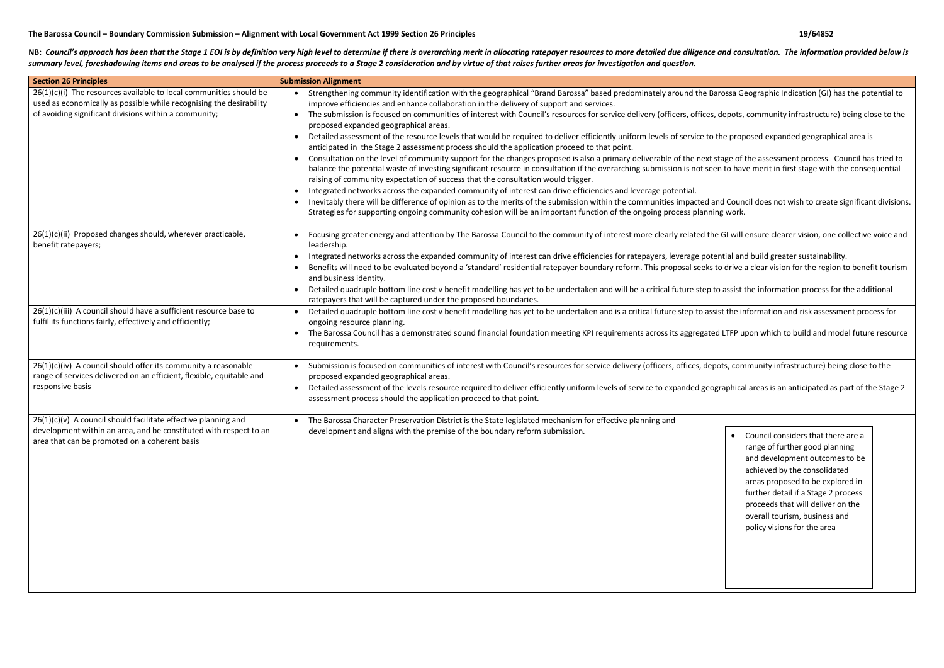## **The Barossa Council – Boundary Commission Submission – Alignment with Local Government Act 1999 Section 26 Principles 19/64852**

NB: Council's approach has been that the Stage 1 EOI is by definition very high level to determine if there is overarching merit in allocating ratepayer resources to more detailed due diligence and consultation. The inform summary level, foreshadowing items and areas to be analysed if the process proceeds to a Stage 2 consideration and by virtue of that raises further areas for investigation and question.

> • Council considers that there are a range of further good planning and development outcomes to be achieved by the consolidated areas proposed to be explored in further detail if a Stage 2 process proceeds that will deliver on the overall tourism, business and policy visions for the area

| <b>Section 26 Principles</b>                                                                                                                                                                         | <b>Submission Alignment</b>                                                                                                                                                                                                                                                                                                                                                                                                                                                                                                                                                                                                                                                                                                                                                                                                                                                                                                                                                                                                                                                                                                                                                                                                                                                                                                                                 |  |  |
|------------------------------------------------------------------------------------------------------------------------------------------------------------------------------------------------------|-------------------------------------------------------------------------------------------------------------------------------------------------------------------------------------------------------------------------------------------------------------------------------------------------------------------------------------------------------------------------------------------------------------------------------------------------------------------------------------------------------------------------------------------------------------------------------------------------------------------------------------------------------------------------------------------------------------------------------------------------------------------------------------------------------------------------------------------------------------------------------------------------------------------------------------------------------------------------------------------------------------------------------------------------------------------------------------------------------------------------------------------------------------------------------------------------------------------------------------------------------------------------------------------------------------------------------------------------------------|--|--|
| $26(1)(c)(i)$ The resources available to local communities should be<br>used as economically as possible while recognising the desirability<br>of avoiding significant divisions within a community; | Strengthening community identification with the geographical "Brand Barossa" based predominately around the Barossa G<br>improve efficiencies and enhance collaboration in the delivery of support and services.<br>The submission is focused on communities of interest with Council's resources for service delivery (officers, offices, depots,<br>proposed expanded geographical areas.<br>Detailed assessment of the resource levels that would be required to deliver efficiently uniform levels of service to the prop<br>anticipated in the Stage 2 assessment process should the application proceed to that point.<br>Consultation on the level of community support for the changes proposed is also a primary deliverable of the next stage of<br>balance the potential waste of investing significant resource in consultation if the overarching submission is not seen to have<br>raising of community expectation of success that the consultation would trigger.<br>Integrated networks across the expanded community of interest can drive efficiencies and leverage potential.<br>Inevitably there will be difference of opinion as to the merits of the submission within the communities impacted and Coun<br>Strategies for supporting ongoing community cohesion will be an important function of the ongoing process planning work. |  |  |
| 26(1)(c)(ii) Proposed changes should, wherever practicable,<br>benefit ratepayers;                                                                                                                   | Focusing greater energy and attention by The Barossa Council to the community of interest more clearly related the GI will<br>leadership.<br>Integrated networks across the expanded community of interest can drive efficiencies for ratepayers, leverage potential an<br>Benefits will need to be evaluated beyond a 'standard' residential ratepayer boundary reform. This proposal seeks to drive<br>and business identity.<br>Detailed quadruple bottom line cost v benefit modelling has yet to be undertaken and will be a critical future step to assist<br>ratepayers that will be captured under the proposed boundaries.                                                                                                                                                                                                                                                                                                                                                                                                                                                                                                                                                                                                                                                                                                                         |  |  |
| 26(1)(c)(iii) A council should have a sufficient resource base to<br>fulfil its functions fairly, effectively and efficiently;                                                                       | Detailed quadruple bottom line cost v benefit modelling has yet to be undertaken and is a critical future step to assist the ir<br>ongoing resource planning.<br>The Barossa Council has a demonstrated sound financial foundation meeting KPI requirements across its aggregated LTFP u<br>requirements.                                                                                                                                                                                                                                                                                                                                                                                                                                                                                                                                                                                                                                                                                                                                                                                                                                                                                                                                                                                                                                                   |  |  |
| $26(1)(c)(iv)$ A council should offer its community a reasonable<br>range of services delivered on an efficient, flexible, equitable and<br>responsive basis                                         | Submission is focused on communities of interest with Council's resources for service delivery (officers, offices, depots, con<br>proposed expanded geographical areas.<br>Detailed assessment of the levels resource required to deliver efficiently uniform levels of service to expanded geographica<br>assessment process should the application proceed to that point.                                                                                                                                                                                                                                                                                                                                                                                                                                                                                                                                                                                                                                                                                                                                                                                                                                                                                                                                                                                 |  |  |
| $26(1)(c)(v)$ A council should facilitate effective planning and<br>development within an area, and be constituted with respect to an<br>area that can be promoted on a coherent basis               | • The Barossa Character Preservation District is the State legislated mechanism for effective planning and<br>development and aligns with the premise of the boundary reform submission.                                                                                                                                                                                                                                                                                                                                                                                                                                                                                                                                                                                                                                                                                                                                                                                                                                                                                                                                                                                                                                                                                                                                                                    |  |  |

Barossa Geographic Indication (GI) has the potential to

s, depots, community infrastructure) being close to the

o the proposed expanded geographical area is

t stage of the assessment process. Council has tried to een to have merit in first stage with the consequential

and Council does not wish to create significant divisions.

he GI will ensure clearer vision, one collective voice and

tential and build greater sustainability. s to drive a clear vision for the region to benefit tourism

to assist the information process for the additional

ssist the information and risk assessment process for

ed LTFP upon which to build and model future resource

epots, community infrastructure) being close to the

ographical areas is an anticipated as part of the Stage 2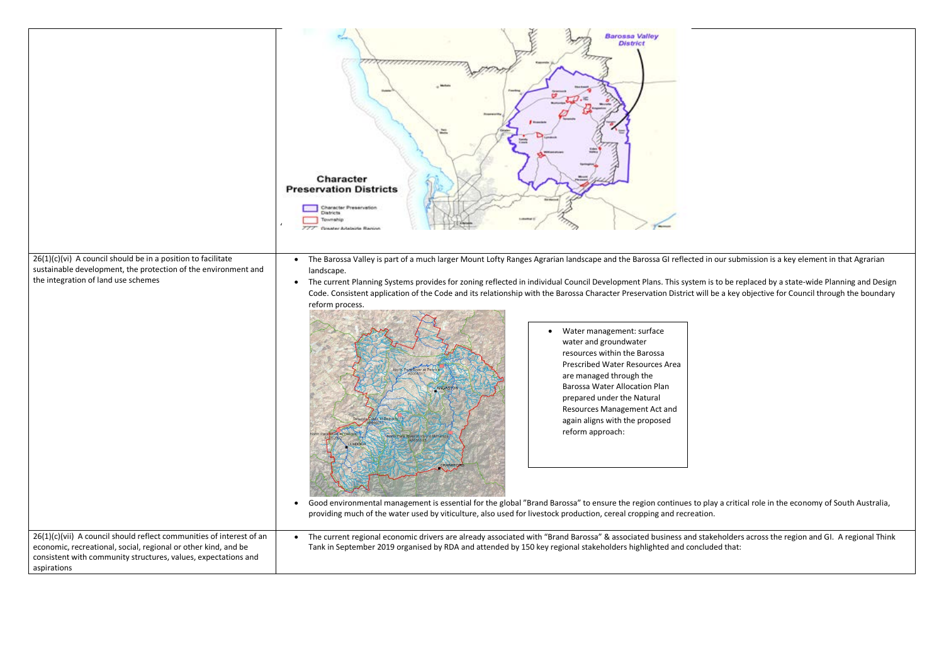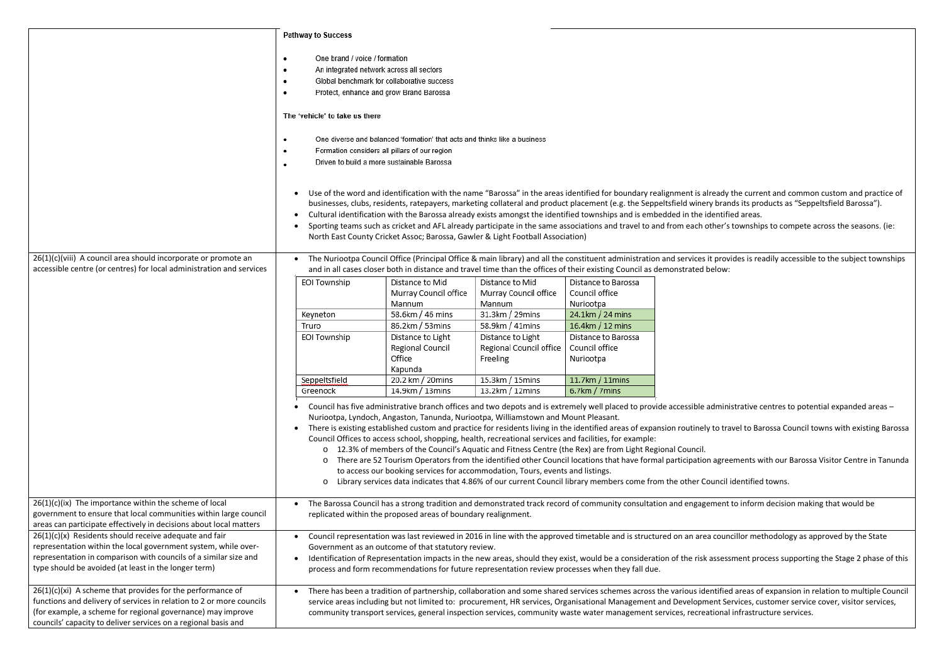|                                                                                                                                                                                                                                                                       | Pathway to Success                                                                                                                                                                                                                                                                                                                                                                                                                                                                                                                                                                                                                                                                                                                                                                                                                                                                                                                                               |                                                                                |                                                          |                                                    |                                                                                                                                                                                                                                                                                                                                                                                                                                                                                                                                                 |
|-----------------------------------------------------------------------------------------------------------------------------------------------------------------------------------------------------------------------------------------------------------------------|------------------------------------------------------------------------------------------------------------------------------------------------------------------------------------------------------------------------------------------------------------------------------------------------------------------------------------------------------------------------------------------------------------------------------------------------------------------------------------------------------------------------------------------------------------------------------------------------------------------------------------------------------------------------------------------------------------------------------------------------------------------------------------------------------------------------------------------------------------------------------------------------------------------------------------------------------------------|--------------------------------------------------------------------------------|----------------------------------------------------------|----------------------------------------------------|-------------------------------------------------------------------------------------------------------------------------------------------------------------------------------------------------------------------------------------------------------------------------------------------------------------------------------------------------------------------------------------------------------------------------------------------------------------------------------------------------------------------------------------------------|
|                                                                                                                                                                                                                                                                       | One brand / voice / formation<br>٠<br>An integrated network across all sectors<br>Global benchmark for collaborative success<br>Protect, enhance and grow Brand Barossa                                                                                                                                                                                                                                                                                                                                                                                                                                                                                                                                                                                                                                                                                                                                                                                          |                                                                                |                                                          |                                                    |                                                                                                                                                                                                                                                                                                                                                                                                                                                                                                                                                 |
|                                                                                                                                                                                                                                                                       | The 'vehicle' to take us there                                                                                                                                                                                                                                                                                                                                                                                                                                                                                                                                                                                                                                                                                                                                                                                                                                                                                                                                   |                                                                                |                                                          |                                                    |                                                                                                                                                                                                                                                                                                                                                                                                                                                                                                                                                 |
|                                                                                                                                                                                                                                                                       | One diverse and balanced 'formation' that acts and thinks like a business<br>Formation considers all pillars of our region<br>Driven to build a more sustainable Barossa                                                                                                                                                                                                                                                                                                                                                                                                                                                                                                                                                                                                                                                                                                                                                                                         |                                                                                |                                                          |                                                    |                                                                                                                                                                                                                                                                                                                                                                                                                                                                                                                                                 |
|                                                                                                                                                                                                                                                                       | $\bullet$                                                                                                                                                                                                                                                                                                                                                                                                                                                                                                                                                                                                                                                                                                                                                                                                                                                                                                                                                        | North East County Cricket Assoc; Barossa, Gawler & Light Football Association) |                                                          |                                                    | Use of the word and identification with the name "Barossa" in the areas identified for boundary realignment is already the curre<br>businesses, clubs, residents, ratepayers, marketing collateral and product placement (e.g. the Seppeltsfield winery brands its pro<br>Cultural identification with the Barossa already exists amongst the identified townships and is embedded in the identified areas.<br>Sporting teams such as cricket and AFL already participate in the same associations and travel to and from each other's township |
| 26(1)(c)(viii) A council area should incorporate or promote an<br>accessible centre (or centres) for local administration and services                                                                                                                                | The Nuriootpa Council Office (Principal Office & main library) and all the constituent administration and services it provides is re<br>and in all cases closer both in distance and travel time than the offices of their existing Council as demonstrated below:                                                                                                                                                                                                                                                                                                                                                                                                                                                                                                                                                                                                                                                                                               |                                                                                |                                                          |                                                    |                                                                                                                                                                                                                                                                                                                                                                                                                                                                                                                                                 |
|                                                                                                                                                                                                                                                                       | EOI Township                                                                                                                                                                                                                                                                                                                                                                                                                                                                                                                                                                                                                                                                                                                                                                                                                                                                                                                                                     | Distance to Mid<br>Murray Council office<br>Mannum                             | Distance to Mid<br>Murray Council office<br>Mannum       | Distance to Barossa<br>Council office<br>Nuriootpa |                                                                                                                                                                                                                                                                                                                                                                                                                                                                                                                                                 |
|                                                                                                                                                                                                                                                                       | Keyneton                                                                                                                                                                                                                                                                                                                                                                                                                                                                                                                                                                                                                                                                                                                                                                                                                                                                                                                                                         | 58.6km / 46 mins                                                               | 31.3km / 29mins                                          | 24.1km / 24 mins                                   |                                                                                                                                                                                                                                                                                                                                                                                                                                                                                                                                                 |
|                                                                                                                                                                                                                                                                       | Truro                                                                                                                                                                                                                                                                                                                                                                                                                                                                                                                                                                                                                                                                                                                                                                                                                                                                                                                                                            | 86.2km / 53mins                                                                | 58.9km / 41mins                                          | 16.4km / 12 mins                                   |                                                                                                                                                                                                                                                                                                                                                                                                                                                                                                                                                 |
|                                                                                                                                                                                                                                                                       | EOI Township                                                                                                                                                                                                                                                                                                                                                                                                                                                                                                                                                                                                                                                                                                                                                                                                                                                                                                                                                     | Distance to Light<br>Regional Council<br>Office<br>Kapunda                     | Distance to Light<br>Regional Council office<br>Freeling | Distance to Barossa<br>Council office<br>Nuriootpa |                                                                                                                                                                                                                                                                                                                                                                                                                                                                                                                                                 |
|                                                                                                                                                                                                                                                                       | Seppeltsfield                                                                                                                                                                                                                                                                                                                                                                                                                                                                                                                                                                                                                                                                                                                                                                                                                                                                                                                                                    | 20.2 km / 20mins                                                               | 15.3km / 15mins                                          | 11.7km / 11mins                                    |                                                                                                                                                                                                                                                                                                                                                                                                                                                                                                                                                 |
|                                                                                                                                                                                                                                                                       | Greenock                                                                                                                                                                                                                                                                                                                                                                                                                                                                                                                                                                                                                                                                                                                                                                                                                                                                                                                                                         | 14.9km / 13mins                                                                | $13.2km / 12min$ s                                       | $6.7$ km / 7 mins                                  |                                                                                                                                                                                                                                                                                                                                                                                                                                                                                                                                                 |
|                                                                                                                                                                                                                                                                       | Council has five administrative branch offices and two depots and is extremely well placed to provide accessible administrative or<br>Nuriootpa, Lyndoch, Angaston, Tanunda, Nuriootpa, Williamstown and Mount Pleasant.<br>There is existing established custom and practice for residents living in the identified areas of expansion routinely to travel to Ba<br>$\bullet$<br>Council Offices to access school, shopping, health, recreational services and facilities, for example:<br>12.3% of members of the Council's Aquatic and Fitness Centre (the Rex) are from Light Regional Council.<br>$\circ$<br>There are 52 Tourism Operators from the identified other Council locations that have formal participation agreements v<br>to access our booking services for accommodation, Tours, events and listings.<br>Library services data indicates that 4.86% of our current Council library members come from the other Council identified<br>$\circ$ |                                                                                |                                                          |                                                    |                                                                                                                                                                                                                                                                                                                                                                                                                                                                                                                                                 |
| $26(1)(c)(ix)$ The importance within the scheme of local<br>government to ensure that local communities within large council<br>areas can participate effectively in decisions about local matters                                                                    | The Barossa Council has a strong tradition and demonstrated track record of community consultation and engagement to inforn<br>replicated within the proposed areas of boundary realignment.                                                                                                                                                                                                                                                                                                                                                                                                                                                                                                                                                                                                                                                                                                                                                                     |                                                                                |                                                          |                                                    |                                                                                                                                                                                                                                                                                                                                                                                                                                                                                                                                                 |
| $26(1)(c)(x)$ Residents should receive adequate and fair<br>representation within the local government system, while over-<br>representation in comparison with councils of a similar size and<br>type should be avoided (at least in the longer term)                | Council representation was last reviewed in 2016 in line with the approved timetable and is structured on an area councillor me<br>Government as an outcome of that statutory review.<br>Identification of Representation impacts in the new areas, should they exist, would be a consideration of the risk assessment pro<br>process and form recommendations for future representation review processes when they fall due.                                                                                                                                                                                                                                                                                                                                                                                                                                                                                                                                    |                                                                                |                                                          |                                                    |                                                                                                                                                                                                                                                                                                                                                                                                                                                                                                                                                 |
| $26(1)(c)(xi)$ A scheme that provides for the performance of<br>functions and delivery of services in relation to 2 or more councils<br>(for example, a scheme for regional governance) may improve<br>councils' capacity to deliver services on a regional basis and |                                                                                                                                                                                                                                                                                                                                                                                                                                                                                                                                                                                                                                                                                                                                                                                                                                                                                                                                                                  |                                                                                |                                                          |                                                    | There has been a tradition of partnership, collaboration and some shared services schemes across the various identified areas o<br>service areas including but not limited to: procurement, HR services, Organisational Management and Development Services, cu<br>community transport services, general inspection services, community waste water management services, recreational infrastru                                                                                                                                                 |

eady the current and common custom and practice of brands its products as "Seppeltsfield Barossa").

her's townships to compete across the seasons. (ie:

provides is readily accessible to the subject townships

dministrative centres to potential expanded areas –

to travel to Barossa Council towns with existing Barossa

agreements with our Barossa Visitor Centre in Tanunda

ancil identified towns.

ment to inform decision making that would be

councillor methodology as approved by the State

issessment process supporting the Stage 2 phase of this

tified areas of expansion in relation to multiple Council nt Services, customer service cover, visitor services, ional infrastructure services.